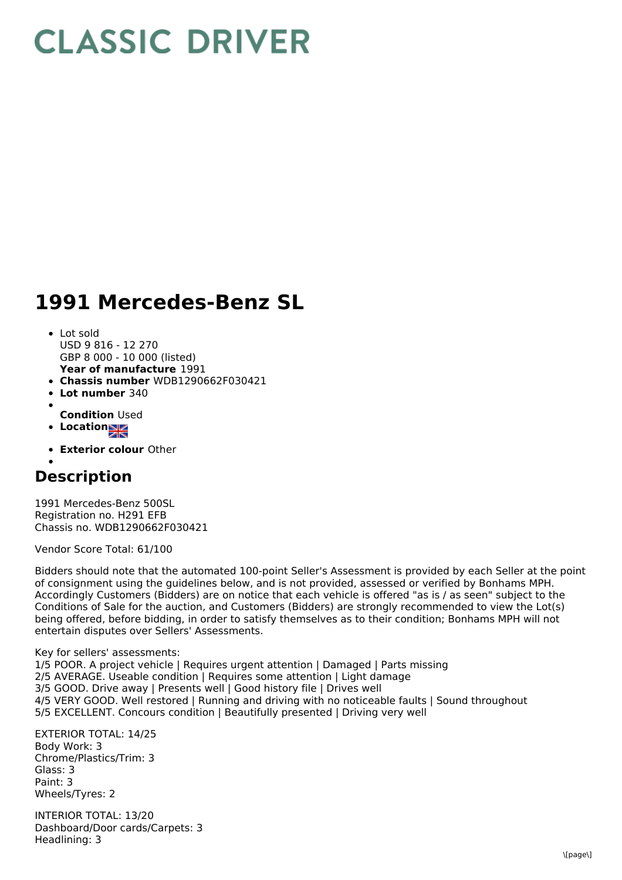## **CLASSIC DRIVER**

## **1991 Mercedes-Benz SL**

- **Year of manufacture** 1991 • Lot sold USD 9 816 - 12 270 GBP 8 000 - 10 000 (listed)
- **Chassis number** WDB1290662F030421
- **Lot number** 340
- **Condition** Used
- **Location**
- **Exterior colour** Other

## **Description**

1991 Mercedes-Benz 500SL Registration no. H291 EFB Chassis no. WDB1290662F030421

Vendor Score Total: 61/100

Bidders should note that the automated 100-point Seller's Assessment is provided by each Seller at the point of consignment using the guidelines below, and is not provided, assessed or verified by Bonhams MPH. Accordingly Customers (Bidders) are on notice that each vehicle is offered "as is / as seen" subject to the Conditions of Sale for the auction, and Customers (Bidders) are strongly recommended to view the Lot(s) being offered, before bidding, in order to satisfy themselves as to their condition; Bonhams MPH will not entertain disputes over Sellers' Assessments.

Key for sellers' assessments:

1/5 POOR. A project vehicle | Requires urgent attention | Damaged | Parts missing 2/5 AVERAGE. Useable condition | Requires some attention | Light damage 3/5 GOOD. Drive away | Presents well | Good history file | Drives well 4/5 VERY GOOD. Well restored | Running and driving with no noticeable faults | Sound throughout 5/5 EXCELLENT. Concours condition | Beautifully presented | Driving very well

EXTERIOR TOTAL: 14/25 Body Work: 3 Chrome/Plastics/Trim: 3 Glass: 3 Paint: 3 Wheels/Tyres: 2

INTERIOR TOTAL: 13/20 Dashboard/Door cards/Carpets: 3 Headlining: 3